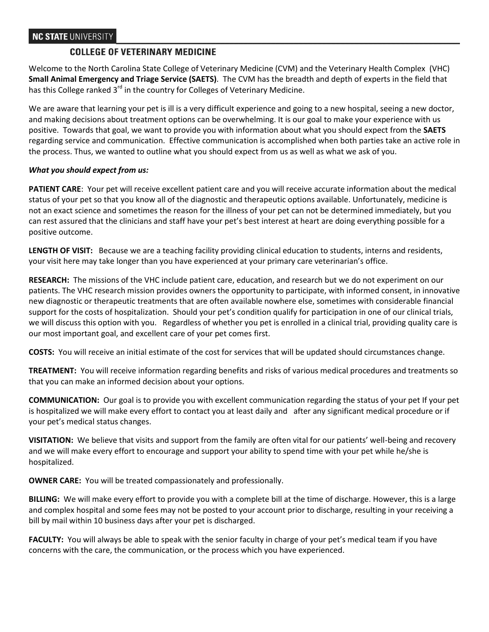# **COLLEGE OF VETERINARY MEDICINE**

Welcome to the North Carolina State College of Veterinary Medicine (CVM) and the Veterinary Health Complex (VHC) **Small Animal Emergency and Triage Service (SAETS)***.* The CVM has the breadth and depth of experts in the field that has this College ranked 3<sup>rd</sup> in the country for Colleges of Veterinary Medicine.

We are aware that learning your pet is ill is a very difficult experience and going to a new hospital, seeing a new doctor, and making decisions about treatment options can be overwhelming. It is our goal to make your experience with us positive. Towards that goal, we want to provide you with information about what you should expect from the **SAETS** regarding service and communication. Effective communication is accomplished when both parties take an active role in the process. Thus, we wanted to outline what you should expect from us as well as what we ask of you.

## *What you should expect from us:*

**PATIENT CARE**: Your pet will receive excellent patient care and you will receive accurate information about the medical status of your pet so that you know all of the diagnostic and therapeutic options available. Unfortunately, medicine is not an exact science and sometimes the reason for the illness of your pet can not be determined immediately, but you can rest assured that the clinicians and staff have your pet's best interest at heart are doing everything possible for a positive outcome.

**LENGTH OF VISIT:** Because we are a teaching facility providing clinical education to students, interns and residents, your visit here may take longer than you have experienced at your primary care veterinarian's office.

**RESEARCH:** The missions of the VHC include patient care, education, and research but we do not experiment on our patients. The VHC research mission provides owners the opportunity to participate, with informed consent, in innovative new diagnostic or therapeutic treatments that are often available nowhere else, sometimes with considerable financial support for the costs of hospitalization. Should your pet's condition qualify for participation in one of our clinical trials, we will discuss this option with you. Regardless of whether you pet is enrolled in a clinical trial, providing quality care is our most important goal, and excellent care of your pet comes first.

**COSTS:** You will receive an initial estimate of the cost for services that will be updated should circumstances change.

**TREATMENT:** You will receive information regarding benefits and risks of various medical procedures and treatments so that you can make an informed decision about your options.

**COMMUNICATION:** Our goal is to provide you with excellent communication regarding the status of your pet If your pet is hospitalized we will make every effort to contact you at least daily and after any significant medical procedure or if your pet's medical status changes.

**VISITATION:** We believe that visits and support from the family are often vital for our patients' well-being and recovery and we will make every effort to encourage and support your ability to spend time with your pet while he/she is hospitalized.

**OWNER CARE:** You will be treated compassionately and professionally.

**BILLING:** We will make every effort to provide you with a complete bill at the time of discharge. However, this is a large and complex hospital and some fees may not be posted to your account prior to discharge, resulting in your receiving a bill by mail within 10 business days after your pet is discharged.

**FACULTY:** You will always be able to speak with the senior faculty in charge of your pet's medical team if you have concerns with the care, the communication, or the process which you have experienced.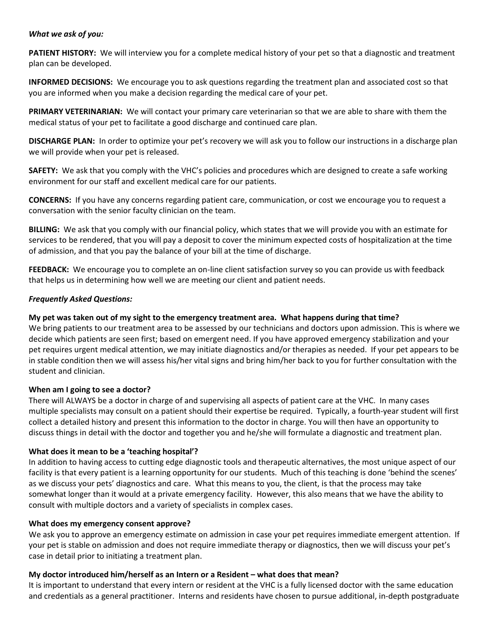#### *What we ask of you:*

PATIENT HISTORY: We will interview you for a complete medical history of your pet so that a diagnostic and treatment plan can be developed.

**INFORMED DECISIONS:** We encourage you to ask questions regarding the treatment plan and associated cost so that you are informed when you make a decision regarding the medical care of your pet.

**PRIMARY VETERINARIAN:** We will contact your primary care veterinarian so that we are able to share with them the medical status of your pet to facilitate a good discharge and continued care plan.

**DISCHARGE PLAN:** In order to optimize your pet's recovery we will ask you to follow our instructions in a discharge plan we will provide when your pet is released.

**SAFETY:** We ask that you comply with the VHC's policies and procedures which are designed to create a safe working environment for our staff and excellent medical care for our patients.

**CONCERNS:** If you have any concerns regarding patient care, communication, or cost we encourage you to request a conversation with the senior faculty clinician on the team.

**BILLING:** We ask that you comply with our financial policy, which states that we will provide you with an estimate for services to be rendered, that you will pay a deposit to cover the minimum expected costs of hospitalization at the time of admission, and that you pay the balance of your bill at the time of discharge.

**FEEDBACK:** We encourage you to complete an on-line client satisfaction survey so you can provide us with feedback that helps us in determining how well we are meeting our client and patient needs.

#### *Frequently Asked Questions:*

### **My pet was taken out of my sight to the emergency treatment area. What happens during that time?**

We bring patients to our treatment area to be assessed by our technicians and doctors upon admission. This is where we decide which patients are seen first; based on emergent need. If you have approved emergency stabilization and your pet requires urgent medical attention, we may initiate diagnostics and/or therapies as needed. If your pet appears to be in stable condition then we will assess his/her vital signs and bring him/her back to you for further consultation with the student and clinician.

#### **When am I going to see a doctor?**

There will ALWAYS be a doctor in charge of and supervising all aspects of patient care at the VHC. In many cases multiple specialists may consult on a patient should their expertise be required. Typically, a fourth-year student will first collect a detailed history and present this information to the doctor in charge. You will then have an opportunity to discuss things in detail with the doctor and together you and he/she will formulate a diagnostic and treatment plan.

#### **What does it mean to be a 'teaching hospital'?**

In addition to having access to cutting edge diagnostic tools and therapeutic alternatives, the most unique aspect of our facility is that every patient is a learning opportunity for our students. Much of this teaching is done 'behind the scenes' as we discuss your pets' diagnostics and care. What this means to you, the client, is that the process may take somewhat longer than it would at a private emergency facility. However, this also means that we have the ability to consult with multiple doctors and a variety of specialists in complex cases.

#### **What does my emergency consent approve?**

We ask you to approve an emergency estimate on admission in case your pet requires immediate emergent attention. If your pet is stable on admission and does not require immediate therapy or diagnostics, then we will discuss your pet's case in detail prior to initiating a treatment plan.

#### **My doctor introduced him/herself as an Intern or a Resident – what does that mean?**

It is important to understand that every intern or resident at the VHC is a fully licensed doctor with the same education and credentials as a general practitioner. Interns and residents have chosen to pursue additional, in-depth postgraduate